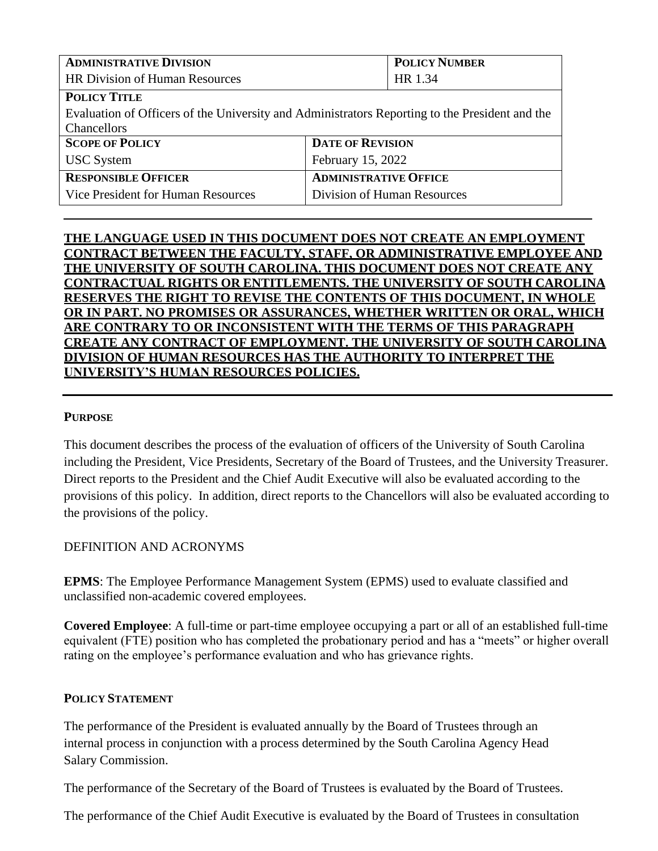| <b>ADMINISTRATIVE DIVISION</b>                                                                 |                              | <b>POLICY NUMBER</b>        |  |
|------------------------------------------------------------------------------------------------|------------------------------|-----------------------------|--|
| <b>HR Division of Human Resources</b>                                                          |                              | HR 1.34                     |  |
| <b>POLICY TITLE</b>                                                                            |                              |                             |  |
| Evaluation of Officers of the University and Administrators Reporting to the President and the |                              |                             |  |
| Chancellors                                                                                    |                              |                             |  |
| <b>SCOPE OF POLICY</b>                                                                         | <b>DATE OF REVISION</b>      |                             |  |
| <b>USC</b> System                                                                              | February 15, 2022            |                             |  |
| <b>RESPONSIBLE OFFICER</b>                                                                     | <b>ADMINISTRATIVE OFFICE</b> |                             |  |
| Vice President for Human Resources                                                             |                              | Division of Human Resources |  |

## **THE LANGUAGE USED IN THIS DOCUMENT DOES NOT CREATE AN EMPLOYMENT CONTRACT BETWEEN THE FACULTY, STAFF, OR ADMINISTRATIVE EMPLOYEE AND THE UNIVERSITY OF SOUTH CAROLINA. THIS DOCUMENT DOES NOT CREATE ANY CONTRACTUAL RIGHTS OR ENTITLEMENTS. THE UNIVERSITY OF SOUTH CAROLINA RESERVES THE RIGHT TO REVISE THE CONTENTS OF THIS DOCUMENT, IN WHOLE OR IN PART. NO PROMISES OR ASSURANCES, WHETHER WRITTEN OR ORAL, WHICH ARE CONTRARY TO OR INCONSISTENT WITH THE TERMS OF THIS PARAGRAPH CREATE ANY CONTRACT OF EMPLOYMENT. THE UNIVERSITY OF SOUTH CAROLINA DIVISION OF HUMAN RESOURCES HAS THE AUTHORITY TO INTERPRET THE UNIVERSITY'S HUMAN RESOURCES POLICIES.**

## **PURPOSE**

This document describes the process of the evaluation of officers of the University of South Carolina including the President, Vice Presidents, Secretary of the Board of Trustees, and the University Treasurer. Direct reports to the President and the Chief Audit Executive will also be evaluated according to the provisions of this policy. In addition, direct reports to the Chancellors will also be evaluated according to the provisions of the policy.

## DEFINITION AND ACRONYMS

**EPMS**: The Employee Performance Management System (EPMS) used to evaluate classified and unclassified non-academic covered employees.

**Covered Employee**: A full-time or part-time employee occupying a part or all of an established full-time equivalent (FTE) position who has completed the probationary period and has a "meets" or higher overall rating on the employee's performance evaluation and who has grievance rights.

#### **POLICY STATEMENT**

The performance of the President is evaluated annually by the Board of Trustees through an internal process in conjunction with a process determined by the South Carolina Agency Head Salary Commission.

The performance of the Secretary of the Board of Trustees is evaluated by the Board of Trustees.

The performance of the Chief Audit Executive is evaluated by the Board of Trustees in consultation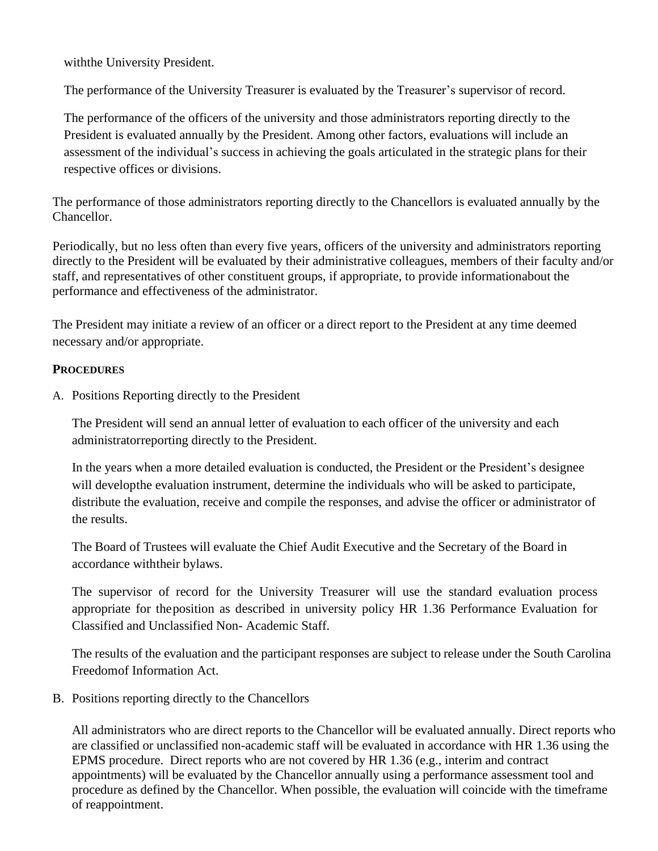withthe University President.

The performance of the University Treasurer is evaluated by the Treasurer's supervisor of record.

The performance of the officers of the university and those administrators reporting directly to the President is evaluated annually by the President. Among other factors, evaluations will include an assessment of the individual's success in achieving the goals articulated in the strategic plans for their respective offices or divisions.

The performance of those administrators reporting directly to the Chancellors is evaluated annually by the Chancellor.

Periodically, but no less often than every five years, officers of the university and administrators reporting directly to the President will be evaluated by their administrative colleagues, members of their faculty and/or staff, and representatives of other constituent groups, if appropriate, to provide informationabout the performance and effectiveness of the administrator.

The President may initiate a review of an officer or a direct report to the President at any time deemed necessary and/or appropriate.

## **PROCEDURES**

A. Positions Reporting directly to the President

The President will send an annual letter of evaluation to each officer of the university and each administratorreporting directly to the President.

In the years when a more detailed evaluation is conducted, the President or the President's designee will developthe evaluation instrument, determine the individuals who will be asked to participate, distribute the evaluation, receive and compile the responses, and advise the officer or administrator of the results.

The Board of Trustees will evaluate the Chief Audit Executive and the Secretary of the Board in accordance withtheir bylaws.

The supervisor of record for the University Treasurer will use the standard evaluation process appropriate for theposition as described in university policy HR 1.36 Performance Evaluation for Classified and Unclassified Non- Academic Staff.

The results of the evaluation and the participant responses are subject to release under the South Carolina Freedomof Information Act.

B. Positions reporting directly to the Chancellors

All administrators who are direct reports to the Chancellor will be evaluated annually. Direct reports who are classified or unclassified non-academic staff will be evaluated in accordance with HR 1.36 using the EPMS procedure. Direct reports who are not covered by HR 1.36 (e.g., interim and contract appointments) will be evaluated by the Chancellor annually using a performance assessment tool and procedure as defined by the Chancellor. When possible, the evaluation will coincide with the timeframe of reappointment.